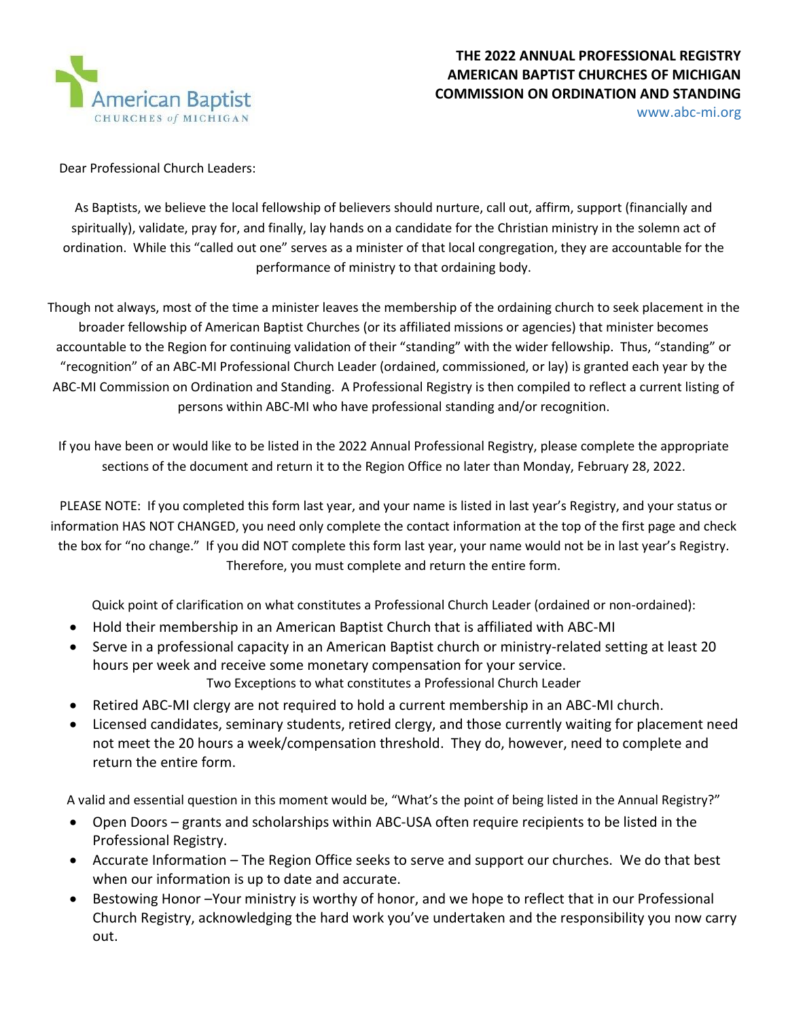

www.abc-mi.org

Dear Professional Church Leaders:

As Baptists, we believe the local fellowship of believers should nurture, call out, affirm, support (financially and spiritually), validate, pray for, and finally, lay hands on a candidate for the Christian ministry in the solemn act of ordination. While this "called out one" serves as a minister of that local congregation, they are accountable for the performance of ministry to that ordaining body.

Though not always, most of the time a minister leaves the membership of the ordaining church to seek placement in the broader fellowship of American Baptist Churches (or its affiliated missions or agencies) that minister becomes accountable to the Region for continuing validation of their "standing" with the wider fellowship. Thus, "standing" or "recognition" of an ABC-MI Professional Church Leader (ordained, commissioned, or lay) is granted each year by the ABC-MI Commission on Ordination and Standing. A Professional Registry is then compiled to reflect a current listing of persons within ABC-MI who have professional standing and/or recognition.

If you have been or would like to be listed in the 2022 Annual Professional Registry, please complete the appropriate sections of the document and return it to the Region Office no later than Monday, February 28, 2022.

PLEASE NOTE: If you completed this form last year, and your name is listed in last year's Registry, and your status or information HAS NOT CHANGED, you need only complete the contact information at the top of the first page and check the box for "no change." If you did NOT complete this form last year, your name would not be in last year's Registry. Therefore, you must complete and return the entire form.

Quick point of clarification on what constitutes a Professional Church Leader (ordained or non-ordained):

- Hold their membership in an American Baptist Church that is affiliated with ABC-MI
- Serve in a professional capacity in an American Baptist church or ministry-related setting at least 20 hours per week and receive some monetary compensation for your service. Two Exceptions to what constitutes a Professional Church Leader
- Retired ABC-MI clergy are not required to hold a current membership in an ABC-MI church.
- Licensed candidates, seminary students, retired clergy, and those currently waiting for placement need not meet the 20 hours a week/compensation threshold. They do, however, need to complete and return the entire form.

A valid and essential question in this moment would be, "What's the point of being listed in the Annual Registry?"

- Open Doors grants and scholarships within ABC-USA often require recipients to be listed in the Professional Registry.
- Accurate Information The Region Office seeks to serve and support our churches. We do that best when our information is up to date and accurate.
- Bestowing Honor -Your ministry is worthy of honor, and we hope to reflect that in our Professional Church Registry, acknowledging the hard work you've undertaken and the responsibility you now carry out.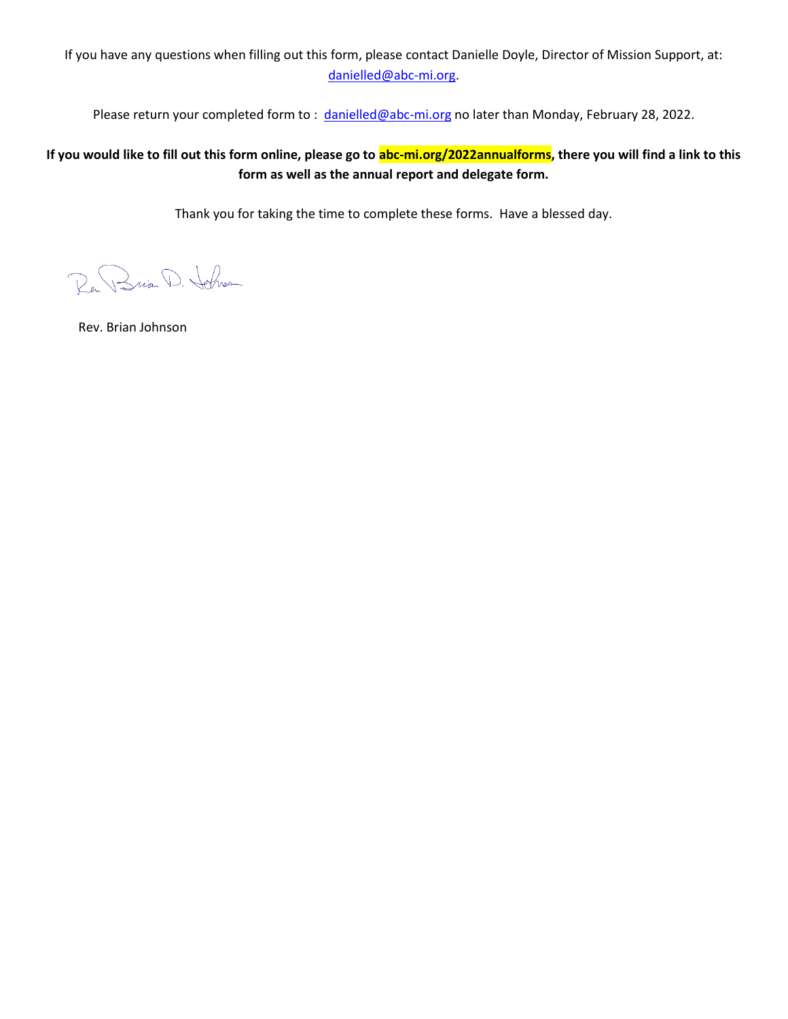If you have any questions when filling out this form, please contact Danielle Doyle, Director of Mission Support, at: [danielled@abc-mi.org.](mailto:danielled@abc-mi.org)

Please return your completed form to: [danielled@abc-mi.org](mailto:danielled@abc-mi.org) no later than Monday, February 28, 2022.

#### **If you would like to fill out this form online, please go to abc-mi.org/2022annualforms, there you will find a link to this form as well as the annual report and delegate form.**

Thank you for taking the time to complete these forms. Have a blessed day.

Ren Brian D. Johnson

Rev. Brian Johnson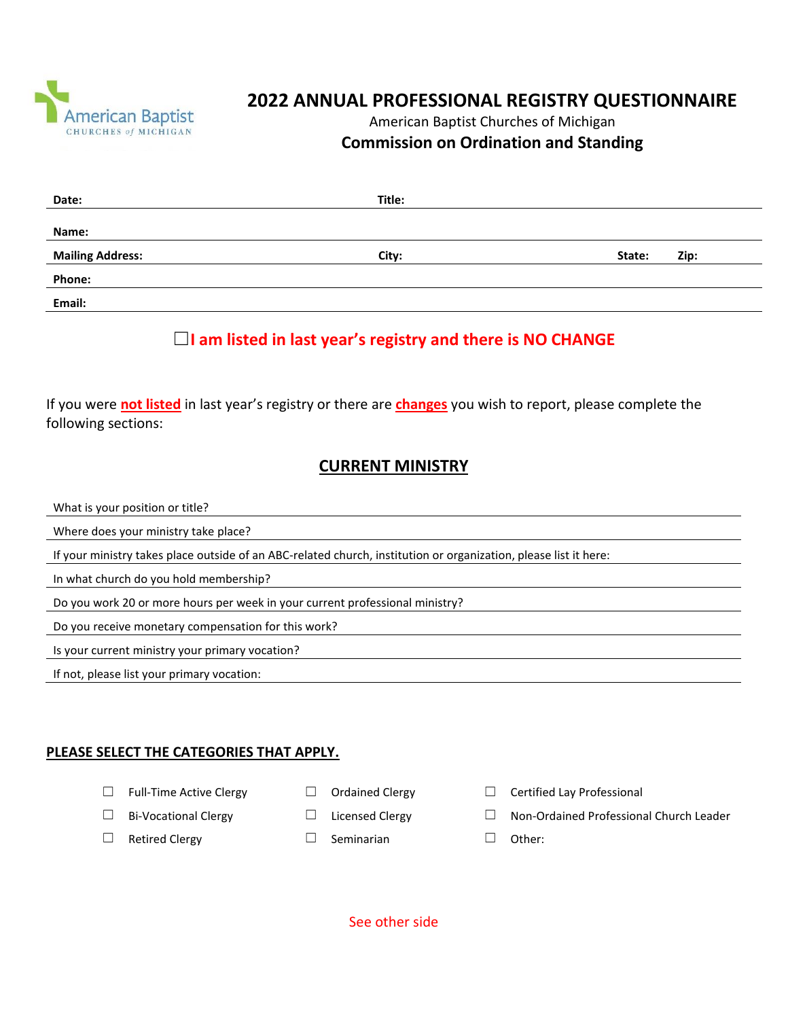

# **2022 ANNUAL PROFESSIONAL REGISTRY QUESTIONNAIRE**

#### American Baptist Churches of Michigan **Commission on Ordination and Standing**

| Date:                   | Title: |        |      |
|-------------------------|--------|--------|------|
|                         |        |        |      |
| Name:                   |        |        |      |
| <b>Mailing Address:</b> | City:  | State: | Zip: |
| Phone:                  |        |        |      |
| Email:                  |        |        |      |

# ☐**I am listed in last year's registry and there is NO CHANGE**

If you were **not listed** in last year's registry or there are **changes** you wish to report, please complete the following sections:

### **CURRENT MINISTRY**

What is your position or title?

Where does your ministry take place?

If your ministry takes place outside of an ABC-related church, institution or organization, please list it here:

In what church do you hold membership?

Do you work 20 or more hours per week in your current professional ministry?

Do you receive monetary compensation for this work?

Is your current ministry your primary vocation?

If not, please list your primary vocation:

#### **PLEASE SELECT THE CATEGORIES THAT APPLY.**

- 
- 
- 
- ☐ Retired Clergy ☐ Seminarian ☐ Other:
- 
- -
- ☐ Full-Time Active Clergy ☐ Ordained Clergy ☐ Certified Lay Professional
- ☐ Bi-Vocational Clergy ☐ Licensed Clergy ☐ Non-Ordained Professional Church Leader
	-

See other side